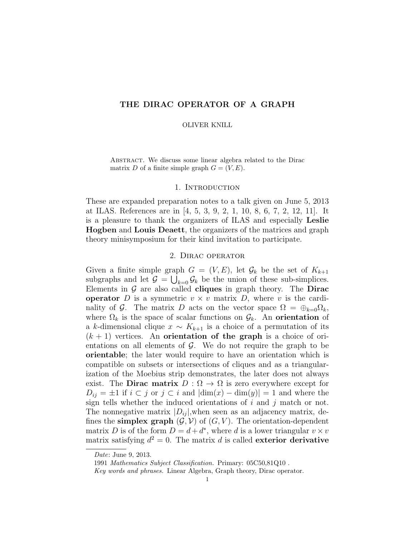# THE DIRAC OPERATOR OF A GRAPH

#### OLIVER KNILL

ABSTRACT. We discuss some linear algebra related to the Dirac matrix D of a finite simple graph  $G = (V, E)$ .

### 1. INTRODUCTION

These are expanded preparation notes to a talk given on June 5, 2013 at ILAS. References are in [4, 5, 3, 9, 2, 1, 10, 8, 6, 7, 2, 12, 11]. It is a pleasure to thank the organizers of ILAS and especially Leslie Hogben and Louis Deaett, the organizers of the matrices and graph theory minisymposium for their kind invitation to participate.

# 2. Dirac operator

Given a finite simple graph  $G = (V, E)$ , let  $\mathcal{G}_k$  be the set of  $K_{k+1}$ subgraphs and let  $\mathcal{G} = \bigcup_{k=0} \mathcal{G}_k$  be the union of these sub-simplices. Elements in  $G$  are also called **cliques** in graph theory. The **Dirac** operator D is a symmetric  $v \times v$  matrix D, where v is the cardinality of G. The matrix D acts on the vector space  $\Omega = \bigoplus_{k=0} Q_k$ , where  $\Omega_k$  is the space of scalar functions on  $\mathcal{G}_k$ . An orientation of a k-dimensional clique  $x \sim K_{k+1}$  is a choice of a permutation of its  $(k + 1)$  vertices. An **orientation of the graph** is a choice of orientations on all elements of  $\mathcal{G}$ . We do not require the graph to be orientable; the later would require to have an orientation which is compatible on subsets or intersections of cliques and as a triangularization of the Moebius strip demonstrates, the later does not always exist. The **Dirac matrix**  $D : \Omega \to \Omega$  is zero everywhere except for  $D_{ij} = \pm 1$  if  $i \subset j$  or  $j \subset i$  and  $|\dim(x) - \dim(y)| = 1$  and where the sign tells whether the induced orientations of  $i$  and  $j$  match or not. The nonnegative matrix  $|D_{ij}|$ , when seen as an adjacency matrix, defines the **simplex graph**  $(\mathcal{G}, \mathcal{V})$  of  $(G, V)$ . The orientation-dependent matrix D is of the form  $D = d + d^*$ , where d is a lower triangular  $v \times v$ matrix satisfying  $d^2 = 0$ . The matrix d is called exterior derivative

Date: June 9, 2013.

<sup>1991</sup> Mathematics Subject Classification. Primary: 05C50,81Q10 .

Key words and phrases. Linear Algebra, Graph theory, Dirac operator.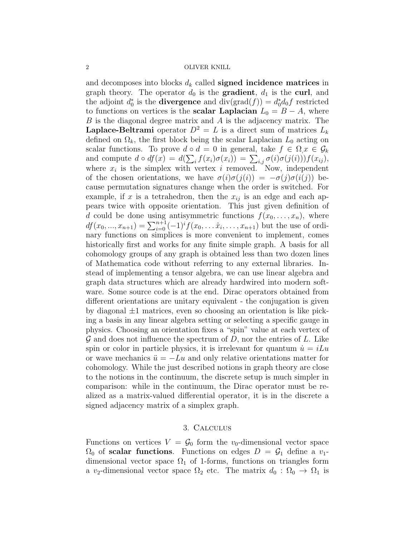and decomposes into blocks  $d_k$  called **signed incidence matrices** in graph theory. The operator  $d_0$  is the **gradient**,  $d_1$  is the **curl**, and the adjoint  $d_0^*$  is the **divergence** and  $\text{div}(\text{grad}(f)) = d_0^* d_0 f$  restricted to functions on vertices is the **scalar Laplacian**  $L_0 = B - A$ , where B is the diagonal degree matrix and A is the adjacency matrix. The **Laplace-Beltrami** operator  $D^2 = L$  is a direct sum of matrices  $L_k$ defined on  $\Omega_k$ , the first block being the scalar Laplacian  $L_0$  acting on scalar functions. To prove  $d \circ d = 0$  in general, take  $f \in \Omega, x \in \mathcal{G}_k$ and compute  $d \circ df(x) = d(\sum_i f(x_i)\sigma(x_i)) = \sum_{i,j} \sigma(i)\sigma(j(i))f(x_{ij}),$ where  $x_i$  is the simplex with vertex i removed. Now, independent of the chosen orientations, we have  $\sigma(i)\sigma(j(i)) = -\sigma(j)\sigma(i(j))$  because permutation signatures change when the order is switched. For example, if x is a tetrahedron, then the  $x_{ij}$  is an edge and each appears twice with opposite orientation. This just given definition of d could be done using antisymmetric functions  $f(x_0, \ldots, x_n)$ , where  $df(x_0, ..., x_{n+1}) = \sum_{i=0}^{n+1} (-1)^i f(x_0, ..., x_i, ..., x_{n+1})$  but the use of ordinary functions on simplices is more convenient to implement, comes historically first and works for any finite simple graph. A basis for all cohomology groups of any graph is obtained less than two dozen lines of Mathematica code without referring to any external libraries. Instead of implementing a tensor algebra, we can use linear algebra and graph data structures which are already hardwired into modern software. Some source code is at the end. Dirac operators obtained from different orientations are unitary equivalent - the conjugation is given by diagonal  $\pm 1$  matrices, even so choosing an orientation is like picking a basis in any linear algebra setting or selecting a specific gauge in physics. Choosing an orientation fixes a "spin" value at each vertex of  $\mathcal G$  and does not influence the spectrum of  $D$ , nor the entries of  $L$ . Like spin or color in particle physics, it is irrelevant for quantum  $\dot{u} = iLu$ or wave mechanics  $\ddot{u} = -Lu$  and only relative orientations matter for cohomology. While the just described notions in graph theory are close to the notions in the continuum, the discrete setup is much simpler in comparison: while in the continuum, the Dirac operator must be realized as a matrix-valued differential operator, it is in the discrete a signed adjacency matrix of a simplex graph.

### 3. Calculus

Functions on vertices  $V = \mathcal{G}_0$  form the  $v_0$ -dimensional vector space  $\Omega_0$  of scalar functions. Functions on edges  $D = \mathcal{G}_1$  define a  $v_1$ dimensional vector space  $\Omega_1$  of 1-forms, functions on triangles form a v<sub>2</sub>-dimensional vector space  $\Omega_2$  etc. The matrix  $d_0 : \Omega_0 \to \Omega_1$  is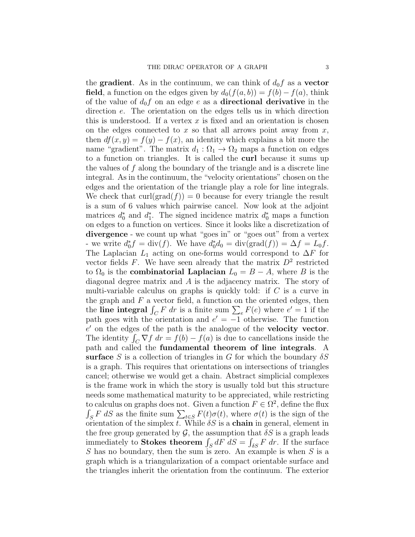the **gradient**. As in the continuum, we can think of  $d_0 f$  as a **vector field**, a function on the edges given by  $d_0(f(a, b)) = f(b) - f(a)$ , think of the value of  $d_0f$  on an edge e as a **directional derivative** in the direction e. The orientation on the edges tells us in which direction this is understood. If a vertex  $x$  is fixed and an orientation is chosen on the edges connected to x so that all arrows point away from  $x$ , then  $df(x, y) = f(y) - f(x)$ , an identity which explains a bit more the name "gradient". The matrix  $d_1 : \Omega_1 \to \Omega_2$  maps a function on edges to a function on triangles. It is called the curl because it sums up the values of  $f$  along the boundary of the triangle and is a discrete line integral. As in the continuum, the "velocity orientations" chosen on the edges and the orientation of the triangle play a role for line integrals. We check that  $\text{curl}(\text{grad}(f)) = 0$  because for every triangle the result is a sum of 6 values which pairwise cancel. Now look at the adjoint matrices  $d_0^*$  and  $d_1^*$ . The signed incidence matrix  $d_0^*$  maps a function on edges to a function on vertices. Since it looks like a discretization of divergence - we count up what "goes in" or "goes out" from a vertex - we write  $d_0^* f = \text{div}(f)$ . We have  $d_0^* d_0 = \text{div}(\text{grad}(f)) = \Delta f = L_0 f$ . The Laplacian  $L_1$  acting on one-forms would correspond to  $\Delta F$  for vector fields  $F$ . We have seen already that the matrix  $D^2$  restricted to  $\Omega_0$  is the **combinatorial Laplacian**  $L_0 = B - A$ , where B is the diagonal degree matrix and A is the adjacency matrix. The story of multi-variable calculus on graphs is quickly told: if  $C$  is a curve in the graph and  $F$  a vector field, a function on the oriented edges, then the line integral  $\int_C F dr$  is a finite sum  $\sum_e F(e)$  where  $e' = 1$  if the path goes with the orientation and  $e' = -1$  otherwise. The function  $e'$  on the edges of the path is the analogue of the velocity vector. The identity  $\int_C \nabla f \, dr = f(b) - f(a)$  is due to cancellations inside the path and called the fundamental theorem of line integrals. A surface S is a collection of triangles in G for which the boundary  $\delta S$ is a graph. This requires that orientations on intersections of triangles cancel; otherwise we would get a chain. Abstract simplicial complexes is the frame work in which the story is usually told but this structure needs some mathematical maturity to be appreciated, while restricting to calculus on graphs does not. Given a function  $F \in \Omega^2$ , define the flux  $\int_{S} F dS$  as the finite sum  $\sum_{t \in S} F(t) \sigma(t)$ , where  $\sigma(t)$  is the sign of the orientation of the simplex t. While  $\delta S$  is a **chain** in general, element in the free group generated by  $\mathcal{G}$ , the assumption that  $\delta S$  is a graph leads immediately to **Stokes theorem**  $\int_S dF \ dS = \int_{\delta S} F \ dr$ . If the surface  $S$  has no boundary, then the sum is zero. An example is when  $S$  is a graph which is a triangularization of a compact orientable surface and the triangles inherit the orientation from the continuum. The exterior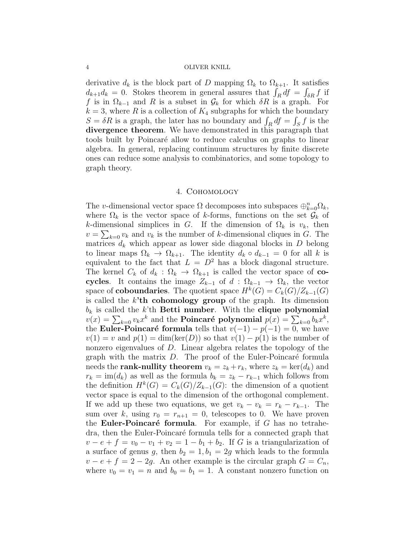derivative  $d_k$  is the block part of D mapping  $\Omega_k$  to  $\Omega_{k+1}$ . It satisfies  $d_{k+1}d_k = 0$ . Stokes theorem in general assures that  $\int_R df = \int_{\delta R} f$  if f is in  $\Omega_{k-1}$  and R is a subset in  $\mathcal{G}_k$  for which  $\delta R$  is a graph. For  $k = 3$ , where R is a collection of  $K_4$  subgraphs for which the boundary  $S = \delta R$  is a graph, the later has no boundary and  $\int_R df = \int_S f$  is the divergence theorem. We have demonstrated in this paragraph that tools built by Poincar´e allow to reduce calculus on graphs to linear algebra. In general, replacing continuum structures by finite discrete ones can reduce some analysis to combinatorics, and some topology to graph theory.

# 4. Cohomology

The v-dimensional vector space  $\Omega$  decomposes into subspaces  $\bigoplus_{k=0}^{n} \Omega_k$ , where  $\Omega_k$  is the vector space of k-forms, functions on the set  $\mathcal{G}_k$  of k-dimensional simplices in G. If the dimension of  $\Omega_k$  is  $v_k$ , then  $v = \sum_{k=0} v_k$  and  $v_k$  is the number of k-dimensional cliques in G. The matrices  $d_k$  which appear as lower side diagonal blocks in  $D$  belong to linear maps  $\Omega_k \to \Omega_{k+1}$ . The identity  $d_k \circ d_{k-1} = 0$  for all k is equivalent to the fact that  $L = D^2$  has a block diagonal structure. The kernel  $C_k$  of  $d_k : \Omega_k \to \Omega_{k+1}$  is called the vector space of cocycles. It contains the image  $Z_{k-1}$  of  $d : \Omega_{k-1} \to \Omega_k$ , the vector space of **coboundaries**. The quotient space  $H^k(G) = C_k(G)/Z_{k-1}(G)$ is called the  $k<sup>3</sup>$ th cohomology group of the graph. Its dimension  $b_k$  is called the k'th **Betti number**. With the **clique polynomial**  $v(x) = \sum_{k=0} v_k x^k$  and the **Poincaré polynomial**  $p(x) = \sum_{k=0} b_k x^k$ , the Euler-Poincaré formula tells that  $v(-1) - p(-1) = 0$ , we have  $v(1) = v$  and  $p(1) = \dim(\ker(D))$  so that  $v(1) - p(1)$  is the number of nonzero eigenvalues of D. Linear algebra relates the topology of the graph with the matrix  $D$ . The proof of the Euler-Poincaré formula needs the **rank-nullity theorem**  $v_k = z_k + r_k$ , where  $z_k = \text{ker}(d_k)$  and  $r_k = \text{im}(d_k)$  as well as the formula  $b_k = z_k - r_{k-1}$  which follows from the definition  $H^k(G) = C_k(G)/Z_{k-1}(G)$ : the dimension of a quotient vector space is equal to the dimension of the orthogonal complement. If we add up these two equations, we get  $v_k - v_k = r_k - r_{k-1}$ . The sum over k, using  $r_0 = r_{n+1} = 0$ , telescopes to 0. We have proven the **Euler-Poincaré formula**. For example, if G has no tetrahedra, then the Euler-Poincaré formula tells for a connected graph that  $v - e + f = v_0 - v_1 + v_2 = 1 - b_1 + b_2$ . If G is a triangularization of a surface of genus g, then  $b_2 = 1$ ,  $b_1 = 2g$  which leads to the formula  $v - e + f = 2 - 2g$ . An other example is the circular graph  $G = C_n$ , where  $v_0 = v_1 = n$  and  $b_0 = b_1 = 1$ . A constant nonzero function on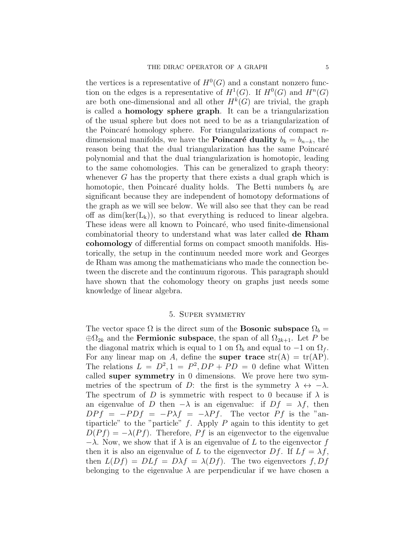the vertices is a representative of  $H^0(G)$  and a constant nonzero function on the edges is a representative of  $H^1(G)$ . If  $H^0(G)$  and  $H^n(G)$ are both one-dimensional and all other  $H^k(G)$  are trivial, the graph is called a homology sphere graph. It can be a triangularization of the usual sphere but does not need to be as a triangularization of the Poincaré homology sphere. For triangularizations of compact  $n$ dimensional manifolds, we have the **Poincaré duality**  $b_k = b_{n-k}$ , the reason being that the dual triangularization has the same Poincaré polynomial and that the dual triangularization is homotopic, leading to the same cohomologies. This can be generalized to graph theory: whenever  $G$  has the property that there exists a dual graph which is homotopic, then Poincaré duality holds. The Betti numbers  $b_k$  are significant because they are independent of homotopy deformations of the graph as we will see below. We will also see that they can be read off as  $dim(ker(L_k))$ , so that everything is reduced to linear algebra. These ideas were all known to Poincaré, who used finite-dimensional combinatorial theory to understand what was later called de Rham cohomology of differential forms on compact smooth manifolds. Historically, the setup in the continuum needed more work and Georges de Rham was among the mathematicians who made the connection between the discrete and the continuum rigorous. This paragraph should have shown that the cohomology theory on graphs just needs some knowledge of linear algebra.

# 5. Super symmetry

The vector space  $\Omega$  is the direct sum of the **Bosonic subspace**  $\Omega_b =$  $\oplus\Omega_{2k}$  and the **Fermionic subspace**, the span of all  $\Omega_{2k+1}$ . Let P be the diagonal matrix which is equal to 1 on  $\Omega_b$  and equal to  $-1$  on  $\Omega_f$ . For any linear map on A, define the super trace  $str(A) = tr(AP)$ . The relations  $L = D^2, 1 = P^2, DP + PD = 0$  define what Witten called super symmetry in 0 dimensions. We prove here two symmetries of the spectrum of D: the first is the symmetry  $\lambda \leftrightarrow -\lambda$ . The spectrum of D is symmetric with respect to 0 because if  $\lambda$  is an eigenvalue of D then  $-\lambda$  is an eigenvalue: if  $Df = \lambda f$ , then  $DPf = -PDf = -P\lambda f = -\lambda Pf$ . The vector Pf is the "antiparticle" to the "particle"  $f$ . Apply  $P$  again to this identity to get  $D(Pf) = -\lambda(Pf)$ . Therefore, Pf is an eigenvector to the eigenvalue  $-\lambda$ . Now, we show that if  $\lambda$  is an eigenvalue of L to the eigenvector f then it is also an eigenvalue of L to the eigenvector Df. If  $Lf = \lambda f$ , then  $L(Df) = DLf = D\lambda f = \lambda(Df)$ . The two eigenvectors f, Df belonging to the eigenvalue  $\lambda$  are perpendicular if we have chosen a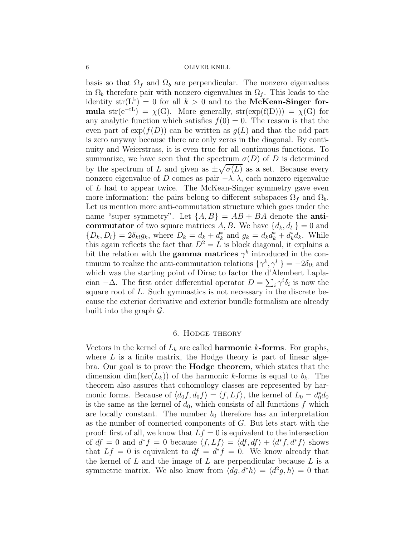basis so that  $\Omega_f$  and  $\Omega_b$  are perpendicular. The nonzero eigenvalues in  $\Omega_b$  therefore pair with nonzero eigenvalues in  $\Omega_f$ . This leads to the identity  $str(L^k) = 0$  for all  $k > 0$  and to the McKean-Singer formula str(e<sup>-tL</sup>) =  $\chi$ (G). More generally, str(exp(f(D))) =  $\chi$ (G) for any analytic function which satisfies  $f(0) = 0$ . The reason is that the even part of  $exp(f(D))$  can be written as  $g(L)$  and that the odd part is zero anyway because there are only zeros in the diagonal. By continuity and Weierstrass, it is even true for all continuous functions. To summarize, we have seen that the spectrum  $\sigma(D)$  of D is determined by the spectrum of L and given as  $\pm \sqrt{\sigma(L)}$  as a set. Because every nonzero eigenvalue of D comes as pair  $-\lambda$ ,  $\lambda$ , each nonzero eigenvalue of L had to appear twice. The McKean-Singer symmetry gave even more information: the pairs belong to different subspaces  $\Omega_f$  and  $\Omega_b$ . Let us mention more anti-commutation structure which goes under the name "super symmetry". Let  $\{A, B\} = AB + BA$  denote the **anticommutator** of two square matrices A, B. We have  $\{d_k, d_l\} = 0$  and  $\{D_k, D_l\} = 2\delta_{kl}g_k$ , where  $D_k = d_k + d_k^*$  and  $g_k = d_k d_k^* + d_k^* d_k$ . While this again reflects the fact that  $D^2 = L$  is block diagonal, it explains a bit the relation with the **gamma matrices**  $\gamma^k$  introduced in the continuum to realize the anti-commutation relations  $\{\gamma^k, \gamma^l\} = -2\delta_{lk}$  and which was the starting point of Dirac to factor the d'Alembert Laplacian  $-\Delta$ . The first order differential operator  $D = \sum_i \gamma^i \delta_i$  is now the square root of L. Such gymnastics is not necessary in the discrete because the exterior derivative and exterior bundle formalism are already built into the graph  $\mathcal{G}$ .

# 6. Hodge theory

Vectors in the kernel of  $L_k$  are called **harmonic** k-forms. For graphs, where  $L$  is a finite matrix, the Hodge theory is part of linear algebra. Our goal is to prove the Hodge theorem, which states that the dimension dim(ker( $L_k$ )) of the harmonic k-forms is equal to  $b_k$ . The theorem also assures that cohomology classes are represented by harmonic forms. Because of  $\langle d_0 f, d_0 f \rangle = \langle f, Lf \rangle$ , the kernel of  $L_0 = d_0^* d_0$ is the same as the kernel of  $d_0$ , which consists of all functions f which are locally constant. The number  $b_0$  therefore has an interpretation as the number of connected components of G. But lets start with the proof: first of all, we know that  $Lf = 0$  is equivalent to the intersection of  $df = 0$  and  $d^*f = 0$  because  $\langle f, Lf \rangle = \langle df, df \rangle + \langle d^*f, d^*f \rangle$  shows that  $Lf = 0$  is equivalent to  $df = d*f = 0$ . We know already that the kernel of  $L$  and the image of  $L$  are perpendicular because  $L$  is a symmetric matrix. We also know from  $\langle dg, d^*h \rangle = \langle d^2g, h \rangle = 0$  that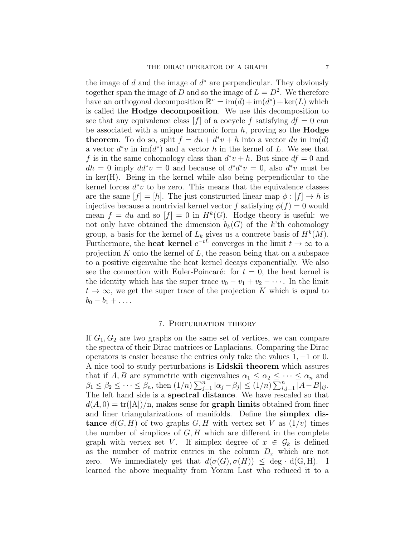the image of  $d$  and the image of  $d^*$  are perpendicular. They obviously together span the image of D and so the image of  $L = D<sup>2</sup>$ . We therefore have an orthogonal decomposition  $\mathbb{R}^v = \text{im}(d) + \text{im}(d^*) + \text{ker}(L)$  which is called the Hodge decomposition. We use this decomposition to see that any equivalence class  $[f]$  of a cocycle f satisfying  $df = 0$  can be associated with a unique harmonic form  $h$ , proving so the **Hodge theorem**. To do so, split  $f = du + d^*v + h$  into a vector du in  $\text{im}(d)$ a vector  $d^*v$  in  $\text{im}(d^*)$  and a vector h in the kernel of L. We see that f is in the same cohomology class than  $d^*v + h$ . But since  $df = 0$  and  $dh = 0$  imply  $dd^*v = 0$  and because of  $d^*d^*v = 0$ , also  $d^*v$  must be in ker(H). Being in the kernel while also being perpendicular to the kernel forces  $d^*v$  to be zero. This means that the equivalence classes are the same  $|f| = |h|$ . The just constructed linear map  $\phi : |f| \to h$  is injective because a nontrivial kernel vector f satisfying  $\phi(f) = 0$  would mean  $f = du$  and so  $[f] = 0$  in  $H^k(G)$ . Hodge theory is useful: we not only have obtained the dimension  $b_k(G)$  of the k'th cohomology group, a basis for the kernel of  $L_k$  gives us a concrete basis of  $H^k(M)$ . Furthermore, the **heat kernel**  $e^{-tL}$  converges in the limit  $t \to \infty$  to a projection  $K$  onto the kernel of  $L$ , the reason being that on a subspace to a positive eigenvalue the heat kernel decays exponentially. We also see the connection with Euler-Poincaré: for  $t = 0$ , the heat kernel is the identity which has the super trace  $v_0 - v_1 + v_2 - \cdots$ . In the limit  $t \to \infty$ , we get the super trace of the projection K which is equal to  $b_0 - b_1 + \ldots$ 

# 7. Perturbation theory

If  $G_1, G_2$  are two graphs on the same set of vertices, we can compare the spectra of their Dirac matrices or Laplacians. Comparing the Dirac operators is easier because the entries only take the values 1, −1 or 0. A nice tool to study perturbations is Lidskii theorem which assures that if A, B are symmetric with eigenvalues  $\alpha_1 \leq \alpha_2 \leq \cdots \leq \alpha_n$  and  $\beta_1 \leq \beta_2 \leq \cdots \leq \beta_n$ , then  $(1/n) \sum_{j=1}^n |\alpha_j - \beta_j| \leq (1/n) \sum_{i,j=1}^n |A - B|_{ij}$ . The left hand side is a spectral distance. We have rescaled so that  $d(A, 0) = \text{tr}(|A|)/n$ , makes sense for **graph limits** obtained from finer and finer triangularizations of manifolds. Define the simplex dis**tance**  $d(G, H)$  of two graphs G, H with vertex set V as  $(1/v)$  times the number of simplices of  $G, H$  which are different in the complete graph with vertex set V. If simplex degree of  $x \in \mathcal{G}_k$  is defined as the number of matrix entries in the column  $D_x$  which are not zero. We immediately get that  $d(\sigma(G), \sigma(H)) \leq \deg \cdot d(G, H)$ . I learned the above inequality from Yoram Last who reduced it to a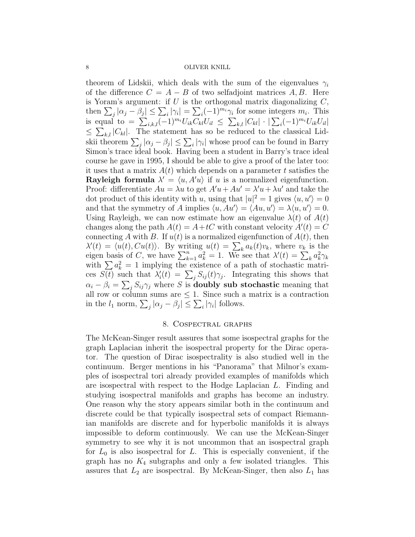theorem of Lidskii, which deals with the sum of the eigenvalues  $\gamma_i$ of the difference  $C = A - B$  of two selfadjoint matrices A, B. Here is Yoram's argument: if  $U$  is the orthogonal matrix diagonalizing  $C$ , then  $\sum_j |\alpha_j - \beta_j| \leq \sum_i |\gamma_i| = \sum_i (-1)^{m_i} \gamma_i$  for some integers  $m_i$ . This is equal to  $= \sum_{i,k,l} (-1)^{m_i} U_{ik} C_{kl} U_{il} \leq \sum_{k,l} |C_{kl}| \cdot |\sum_i (-1)^{m_i} U_{ik} U_{il}|$  $\leq \sum_{k,l} |C_{kl}|$ . The statement has so be reduced to the classical Lidskii theorem  $\sum_{j} |\alpha_j - \beta_j| \leq \sum_{i} |\gamma_i|$  whose proof can be found in Barry Simon's trace ideal book. Having been a student in Barry's trace ideal course he gave in 1995, I should be able to give a proof of the later too: it uses that a matrix  $A(t)$  which depends on a parameter t satisfies the **Rayleigh formula**  $\lambda' = \langle u, A'u \rangle$  if u is a normalized eigenfunction. Proof: differentiate  $Au = \lambda u$  to get  $A'u + Au' = \lambda' u + \lambda u'$  and take the dot product of this identity with u, using that  $|u|^2 = 1$  gives  $\langle u, u' \rangle = 0$ and that the symmetry of A implies  $\langle u, Au' \rangle = \langle Au, u' \rangle = \lambda \langle u, u' \rangle = 0.$ Using Rayleigh, we can now estimate how an eigenvalue  $\lambda(t)$  of  $A(t)$ changes along the path  $A(t) = A + tC$  with constant velocity  $A'(t) = C$ connecting A with B. If  $u(t)$  is a normalized eigenfunction of  $A(t)$ , then  $\lambda'(t) = \langle u(t), Cu(t) \rangle$ . By writing  $u(t) = \sum_k a_k(t)v_k$ , where  $v_k$  is the eigen basis of C, we have  $\sum_{k=1}^{n} a_k^2 = 1$ . We see that  $\lambda'(t) = \sum_{k=1}^{n} a_k^2 \gamma_k$ with  $\sum a_k^2 = 1$  implying the existence of a path of stochastic matrices  $S(t)$  such that  $\lambda_i'(t) = \sum_j S_{ij}(t)\gamma_j$ . Integrating this shows that  $\alpha_i - \beta_i = \sum_j S_{ij} \gamma_j$  where S is **doubly sub stochastic** meaning that all row or column sums are  $\leq 1$ . Since such a matrix is a contraction in the  $l_1$  norm,  $\sum_j |\alpha_j - \beta_j| \leq \sum_i |\gamma_i|$  follows.

# 8. Cospectral graphs

The McKean-Singer result assures that some isospectral graphs for the graph Laplacian inherit the isospectral property for the Dirac operator. The question of Dirac isospectrality is also studied well in the continuum. Berger mentions in his "Panorama" that Milnor's examples of isospectral tori already provided examples of manifolds which are isospectral with respect to the Hodge Laplacian L. Finding and studying isospectral manifolds and graphs has become an industry. One reason why the story appears similar both in the continuum and discrete could be that typically isospectral sets of compact Riemannian manifolds are discrete and for hyperbolic manifolds it is always impossible to deform continuously. We can use the McKean-Singer symmetry to see why it is not uncommon that an isospectral graph for  $L_0$  is also isospectral for L. This is especially convenient, if the graph has no  $K_4$  subgraphs and only a few isolated triangles. This assures that  $L_2$  are isospectral. By McKean-Singer, then also  $L_1$  has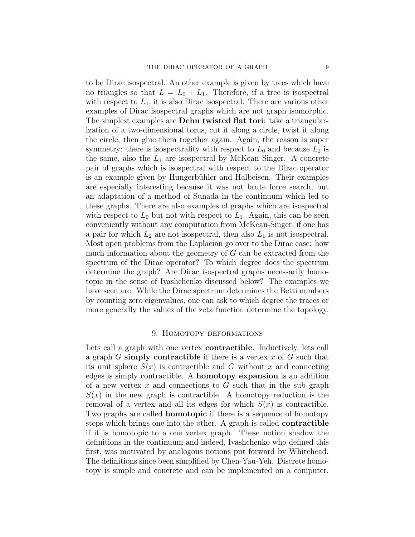to be Dirac isospectral. An other example is given by trees which have no triangles so that  $L = L_0 + L_1$ . Therefore, if a tree is isospectral with respect to  $L_0$ , it is also Dirac isospectral. There are various other examples of Dirac isospectral graphs which are not graph isomorphic. The simplest examples are **Dehn twisted flat tori**: take a triangularization of a two-dimensional torus, cut it along a circle, twist it along the circle, then glue them together again. Again, the reason is super symmetry: there is isospectrality with respect to  $L_0$  and because  $L_2$  is the same, also the  $L_1$  are isospectral by McKean Singer. A concrete pair of graphs which is isospectral with respect to the Dirac operator is an example given by Hungerbühler and Halbeisen. Their examples are especially interesting because it was not brute force search, but an adaptation of a method of Sunada in the continuum which led to these graphs. There are also examples of graphs which are isospectral with respect to  $L_0$  but not with respect to  $L_1$ . Again, this can be seen conveniently without any computation from McKean-Singer, if one has a pair for which  $L_2$  are not isospectral, then also  $L_1$  is not isospectral. Most open problems from the Laplacian go over to the Dirac case: how much information about the geometry of  $G$  can be extracted from the spectrum of the Dirac operator? To which degree does the spectrum determine the graph? Are Dirac isospectral graphs necessarily homotopic in the sense of Ivashchenko discussed below? The examples we have seen are. While the Dirac spectrum determines the Betti numbers by counting zero eigenvalues, one can ask to which degree the traces or more generally the values of the zeta function determine the topology.

### 9. Homotopy deformations

Lets call a graph with one vertex **contractible**. Inductively, lets call a graph  $G$  simply contractible if there is a vertex  $x$  of  $G$  such that its unit sphere  $S(x)$  is contractible and G without x and connecting edges is simply contractible. A homotopy expansion is an addition of a new vertex  $x$  and connections to  $G$  such that in the sub-graph  $S(x)$  in the new graph is contractible. A homotopy reduction is the removal of a vertex and all its edges for which  $S(x)$  is contractible. Two graphs are called **homotopic** if there is a sequence of homotopy steps which brings one into the other. A graph is called contractible if it is homotopic to a one vertex graph. These notion shadow the definitions in the continuum and indeed, Ivashchenko who defined this first, was motivated by analogous notions put forward by Whitehead. The definitions since been simplified by Chen-Yau-Yeh. Discrete homotopy is simple and concrete and can be implemented on a computer.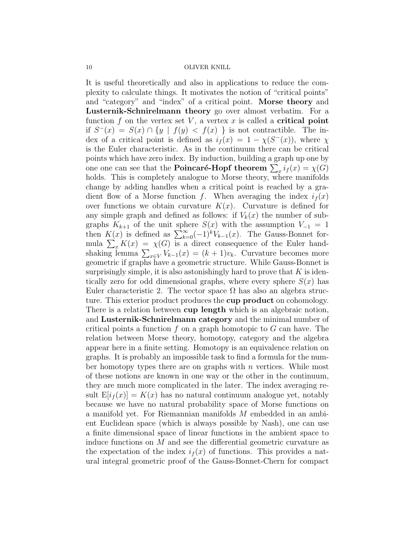It is useful theoretically and also in applications to reduce the complexity to calculate things. It motivates the notion of "critical points" and "category" and "index" of a critical point. Morse theory and Lusternik-Schnirelmann theory go over almost verbatim. For a function f on the vertex set V, a vertex x is called a **critical point** if  $S^{-}(x) = S(x) \cap \{y \mid f(y) < f(x) \}$  is not contractible. The index of a critical point is defined as  $i_f(x) = 1 - \chi(S^{-}(x))$ , where  $\chi$ is the Euler characteristic. As in the continuum there can be critical points which have zero index. By induction, building a graph up one by one one can see that the **Poincaré-Hopf theorem**  $\sum_{x} i_f(x) = \chi(G)$ holds. This is completely analogue to Morse theory, where manifolds change by adding handles when a critical point is reached by a gradient flow of a Morse function f. When averaging the index  $i_f(x)$ over functions we obtain curvature  $K(x)$ . Curvature is defined for any simple graph and defined as follows: if  $V_k(x)$  the number of subgraphs  $K_{k+1}$  of the unit sphere  $S(x)$  with the assumption  $V_{-1} = 1$ then  $K(x)$  is defined as  $\sum_{k=0}^{\infty}(-1)^{k}V_{k-1}(x)$ . The Gauss-Bonnet formula  $\sum_x K(x) = \chi(G)$  is a direct consequence of the Euler handshaking lemma  $\sum_{x \in V} V_{k-1}(x) = (k+1)v_k$ . Curvature becomes more geometric if graphs have a geometric structure. While Gauss-Bonnet is surprisingly simple, it is also astonishingly hard to prove that  $K$  is identically zero for odd dimensional graphs, where every sphere  $S(x)$  has Euler characteristic 2. The vector space  $\Omega$  has also an algebra structure. This exterior product produces the cup product on cohomology. There is a relation between cup length which is an algebraic notion, and Lusternik-Schnirelmann category and the minimal number of critical points a function  $f$  on a graph homotopic to  $G$  can have. The relation between Morse theory, homotopy, category and the algebra appear here in a finite setting. Homotopy is an equivalence relation on graphs. It is probably an impossible task to find a formula for the number homotopy types there are on graphs with n vertices. While most of these notions are known in one way or the other in the continuum, they are much more complicated in the later. The index averaging result  $E[i_f(x)] = K(x)$  has no natural continuum analogue yet, notably because we have no natural probability space of Morse functions on a manifold yet. For Riemannian manifolds M embedded in an ambient Euclidean space (which is always possible by Nash), one can use a finite dimensional space of linear functions in the ambient space to induce functions on M and see the differential geometric curvature as the expectation of the index  $i<sub>f</sub>(x)$  of functions. This provides a natural integral geometric proof of the Gauss-Bonnet-Chern for compact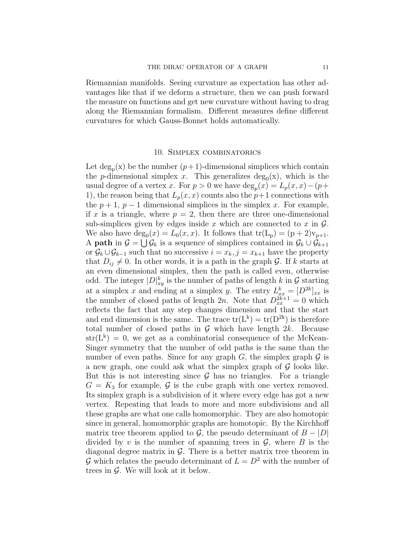Riemannian manifolds. Seeing curvature as expectation has other advantages like that if we deform a structure, then we can push forward the measure on functions and get new curvature without having to drag along the Riemannian formalism. Different measures define different curvatures for which Gauss-Bonnet holds automatically.

# 10. Simplex combinatorics

Let  $\deg_{p}(x)$  be the number  $(p+1)$ -dimensional simplices which contain the *p*-dimensional simplex x. This generalizes  $deg_0(x)$ , which is the usual degree of a vertex x. For  $p > 0$  we have  $\deg_p(x) = L_p(x, x) - (p +$ 1), the reason being that  $L_p(x, x)$  counts also the  $p+1$  connections with the  $p + 1$ ,  $p - 1$  dimensional simplices in the simplex x. For example, if x is a triangle, where  $p = 2$ , then there are three one-dimensional sub-simplices given by edges inside x which are connected to x in  $\mathcal{G}$ . We also have  $\deg_0(x) = L_0(x, x)$ . It follows that  $\text{tr}(L_p) = (p+2)v_{p+1}$ . A **path** in  $\mathcal{G} = \bigcup \mathcal{G}_k$  is a sequence of simplices contained in  $\mathcal{G}_k \cup \mathcal{G}_{k+1}$ or  $\mathcal{G}_k \cup \mathcal{G}_{k-1}$  such that no successive  $i = x_k, j = x_{k+1}$  have the property that  $D_{ij} \neq 0$ . In other words, it is a path in the graph G. If k starts at an even dimensional simplex, then the path is called even, otherwise odd. The integer  $|D|_{xy}^k$  is the number of paths of length k in G starting at a simplex x and ending at a simplex y. The entry  $L_{xx}^k = [D^{2k}]_{xx}$  is the number of closed paths of length  $2n$ . Note that  $D_{xx}^{2k+1} = 0$  which reflects the fact that any step changes dimension and that the start and end dimension is the same. The trace  $tr(L^k) = tr(D^{2k})$  is therefore total number of closed paths in  $G$  which have length  $2k$ . Because  $str(L^k) = 0$ , we get as a combinatorial consequence of the McKean-Singer symmetry that the number of odd paths is the same than the number of even paths. Since for any graph  $G$ , the simplex graph  $\mathcal G$  is a new graph, one could ask what the simplex graph of  $\mathcal G$  looks like. But this is not interesting since  $\mathcal G$  has no triangles. For a triangle  $G = K_3$  for example, G is the cube graph with one vertex removed. Its simplex graph is a subdivision of it where every edge has got a new vertex. Repeating that leads to more and more subdivisions and all these graphs are what one calls homomorphic. They are also homotopic since in general, homomorphic graphs are homotopic. By the Kirchhoff matrix tree theorem applied to  $\mathcal{G}$ , the pseudo determinant of  $B - |D|$ divided by v is the number of spanning trees in  $\mathcal{G}$ , where B is the diagonal degree matrix in  $\mathcal{G}$ . There is a better matrix tree theorem in G which relates the pseudo determinant of  $L = D^2$  with the number of trees in G. We will look at it below.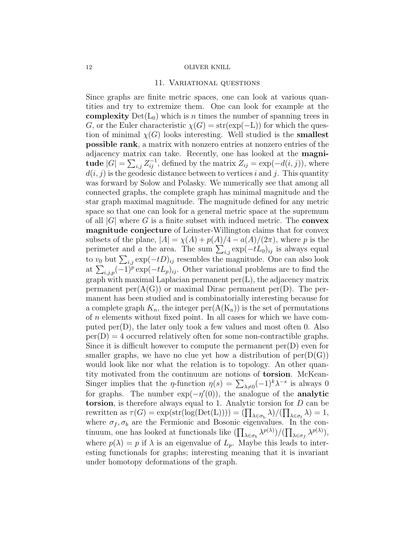## 11. Variational questions

Since graphs are finite metric spaces, one can look at various quantities and try to extremize them. One can look for example at the **complexity**  $Det(L_0)$  which is n times the number of spanning trees in G, or the Euler characteristic  $\chi(G) = \text{str}(\exp(-L))$  for which the question of minimal  $\chi(G)$  looks interesting. Well studied is the **smallest** possible rank, a matrix with nonzero entries at nonzero entries of the adjacency matrix can take. Recently, one has looked at the magnitude  $|G| = \sum_{i,j} Z_{ij}^{-1}$ , defined by the matrix  $Z_{ij} = \exp(-d(i,j))$ , where  $d(i, j)$  is the geodesic distance between to vertices i and j. This quantity was forward by Solow and Polasky. We numerically see that among all connected graphs, the complete graph has minimal magnitude and the star graph maximal magnitude. The magnitude defined for any metric space so that one can look for a general metric space at the supremum of all  $|G|$  where G is a finite subset with induced metric. The **convex** magnitude conjecture of Leinster-Willington claims that for convex subsets of the plane,  $|A| = \chi(A) + p(A)/4 - a(A)/(2\pi)$ , where p is the perimeter and a the area. The sum  $\sum_{i,j} \exp(-tL_0)_{ij}$  is always equal to  $v_0$  but  $\sum_{i,j} \exp(-tD)_{ij}$  resembles the magnitude. One can also look at  $\sum_{i,j,p}(-1)^{p} \exp(-tL_{p})_{ij}$ . Other variational problems are to find the graph with maximal Laplacian permanent  $per(L)$ , the adjacency matrix permanent per $(A(G))$  or maximal Dirac permanent per $(D)$ . The permanent has been studied and is combinatorially interesting because for a complete graph  $K_n$ , the integer per $(A(K_n))$  is the set of permutations of n elements without fixed point. In all cases for which we have computed  $\text{per}(D)$ , the later only took a few values and most often 0. Also  $per(D) = 4$  occurred relatively often for some non-contractible graphs. Since it is difficult however to compute the permanent  $\text{per}(D)$  even for smaller graphs, we have no clue yet how a distribution of  $\text{per}(D(G))$ would look like nor what the relation is to topology. An other quantity motivated from the continuum are notions of torsion. McKean-Singer implies that the *η*-function  $\eta(s) = \sum_{\lambda \neq 0} (-1)^k \lambda^{-s}$  is always 0 for graphs. The number  $exp(-\eta'(0))$ , the analogue of the **analytic** torsion, is therefore always equal to 1. Analytic torsion for D can be rewritten as  $\tau(G) = \exp(\text{str}(\log(\text{Det}(L)))) = (\prod_{\lambda \in \sigma_b} \lambda) / (\prod_{\lambda \in \sigma_f} \lambda) = 1$ , where  $\sigma_f$ ,  $\sigma_b$  are the Fermionic and Bosonic eigenvalues. In the continuum, one has looked at functionals like  $(\prod_{\lambda \in \sigma_b} \lambda^{p(\lambda)})/(\prod_{\lambda \in \sigma_f} \lambda^{p(\lambda)}),$ where  $p(\lambda) = p$  if  $\lambda$  is an eigenvalue of  $L_p$ . Maybe this leads to interesting functionals for graphs; interesting meaning that it is invariant under homotopy deformations of the graph.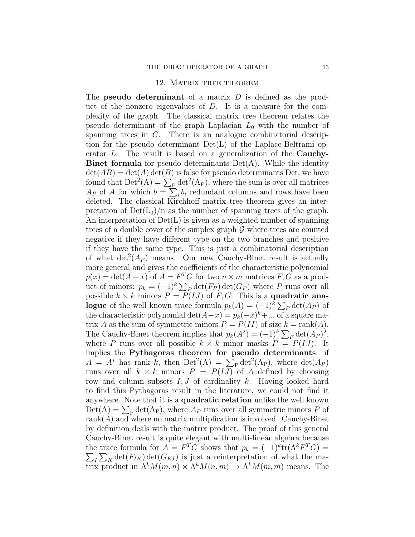### 12. Matrix tree theorem

The **pseudo determinant** of a matrix  $D$  is defined as the product of the nonzero eigenvalues of  $D$ . It is a measure for the complexity of the graph. The classical matrix tree theorem relates the pseudo determinant of the graph Laplacian  $L_0$  with the number of spanning trees in G. There is an analogue combinatorial description for the pseudo determinant  $Det(L)$  of the Laplace-Beltrami operator  $L$ . The result is based on a generalization of the **Cauchy-Binet formula** for pseudo determinants  $Det(A)$ . While the identity  $\det(AB) = \det(A) \det(B)$  is false for pseudo determinants Det, we have found that  $Det^2(A) = \sum_{P} det^2(A_P)$ , where the sum is over all matrices  $A_P$  of A for which  $b = \sum_i b_i$  redundant columns and rows have been deleted. The classical Kirchhoff matrix tree theorem gives an interpretation of  $Det(L_0)/n$  as the number of spanning trees of the graph. An interpretation of  $Det(L)$  is given as a weighted number of spanning trees of a double cover of the simplex graph  $\mathcal G$  where trees are counted negative if they have different type on the two branches and positive if they have the same type. This is just a combinatorial description of what  $\det^2(A_P)$  means. Our new Cauchy-Binet result is actually more general and gives the coefficients of the characteristic polynomial  $p(x) = \det(A - x)$  of  $A = F<sup>T</sup>G$  for two  $n \times m$  matrices  $F, G$  as a product of minors:  $p_k = (-1)^k \sum_P \det(F_P) \det(G_P)$  where P runs over all possible  $k \times k$  minors  $P = P(IJ)$  of F, G. This is a **quadratic analogue** of the well known trace formula  $p_k(A) = (-1)^k \sum_P \det(A_P)$  of the characteristic polynomial  $\det(A-x) = p_k(-x)^k + ...$  of a square matrix A as the sum of symmetric minors  $P = P(II)$  of size  $k = \text{rank}(A)$ . The Cauchy-Binet theorem implies that  $p_k(A^2) = (-1)^k \sum_P \det(A_P)^2$ , where P runs over all possible  $k \times k$  minor masks  $P = P(IJ)$ . It implies the Pythagoras theorem for pseudo determinants: if  $A = A^*$  has rank k, then  $Det^2(A) = \sum_{P} det^2(A_P)$ , where  $det(A_P)$ runs over all  $k \times k$  minors  $P = P(I\overline{J})$  of A defined by choosing row and column subsets I, J of cardinality k. Having looked hard to find this Pythagoras result in the literature, we could not find it anywhere. Note that it is a quadratic relation unlike the well known  $Det(A) = \sum_{P} det(A_{P})$ , where  $A_{P}$  runs over all symmetric minors P of  $rank(A)$  and where no matrix multiplication is involved. Cauchy-Binet by definition deals with the matrix product. The proof of this general Cauchy-Binet result is quite elegant with multi-linear algebra because the trace formula for  $A = F^T G$  shows that  $p_k = (-1)^k tr(\Lambda^k F^T G)$  =  $\sum_{I} \sum_{K} \det(F_{IK}) \det(G_{KI})$  is just a reinterpretation of what the matrix product in  $\Lambda^k M(m,n) \times \Lambda^k M(n,m) \to \Lambda^k M(m,m)$  means. The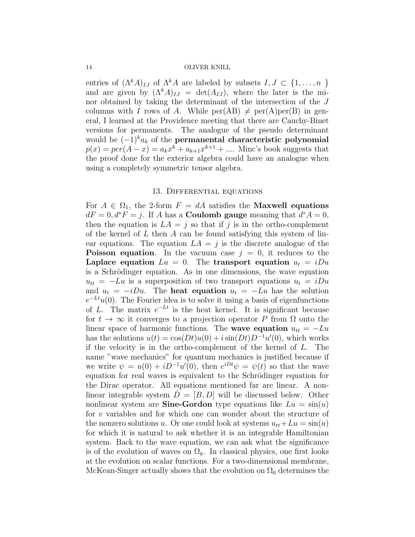entries of  $(\Lambda^k A)_{IJ}$  of  $\Lambda^k A$  are labeled by subsets  $I, J \subset \{1, \ldots, n\}$ and are given by  $(\Lambda^k A)_{IJ} = \det(A_{IJ})$ , where the later is the minor obtained by taking the determinant of the intersection of the J columns with I rows of A. While  $per(AB) \neq per(A)per(B)$  in general, I learned at the Providence meeting that there are Cauchy-Binet versions for permanents. The analogue of the pseudo determinant would be  $(-1)^{k}a_{k}$  of the **permanental characteristic polynomial**  $p(x) = per(A - x) = a_k x^k + a_{k+1} x^{k+1} + \dots$  Minc's book suggests that the proof done for the exterior algebra could have an analogue when using a completely symmetric tensor algebra.

## 13. Differential equations

For  $A \in \Omega_1$ , the 2-form  $F = dA$  satisfies the **Maxwell equations**  $dF = 0, d^*F = j$ . If A has a **Coulomb gauge** meaning that  $d^*A = 0$ , then the equation is  $LA = j$  so that if j is in the ortho-complement of the kernel of  $L$  then  $A$  can be found satisfying this system of linear equations. The equation  $LA = j$  is the discrete analogue of the **Poisson equation.** In the vacuum case  $j = 0$ , it reduces to the Laplace equation  $Lu = 0$ . The transport equation  $u_t = iDu$ is a Schrödinger equation. As in one dimensions, the wave equation  $u_{tt} = -Lu$  is a superposition of two transport equations  $u_t = iDu$ and  $u_t = -iDu$ . The **heat equation**  $u_t = -Lu$  has the solution  $e^{-Lt}u(0)$ . The Fourier idea is to solve it using a basis of eigenfunctions of L. The matrix  $e^{-Lt}$  is the heat kernel. It is significant because for  $t \to \infty$  it converges to a projection operator P from  $\Omega$  onto the linear space of harmonic functions. The wave equation  $u_{tt} = -Lu$ has the solutions  $u(t) = \cos(Dt)u(0) + i\sin(Dt)D^{-1}u'(0)$ , which works if the velocity is in the ortho-complement of the kernel of L. The name "wave mechanics" for quantum mechanics is justified because if we write  $\psi = u(0) + iD^{-1}u'(0)$ , then  $e^{iDt}\psi = \psi(t)$  so that the wave equation for real waves is equivalent to the Schrödinger equation for the Dirac operator. All equations mentioned far are linear. A nonlinear integrable system  $D = [B, D]$  will be discussed below. Other nonlinear system are **Sine-Gordon** type equations like  $Lu = \sin(u)$ for v variables and for which one can wonder about the structure of the nonzero solutions u. Or one could look at systems  $u_{tt}+Lu = \sin(u)$ for which it is natural to ask whether it is an integrable Hamiltonian system. Back to the wave equation, we can ask what the significance is of the evolution of waves on  $\Omega_k$ . In classical physics, one first looks at the evolution on scalar functions. For a two-dimensional membrane, McKean-Singer actually shows that the evolution on  $\Omega_0$  determines the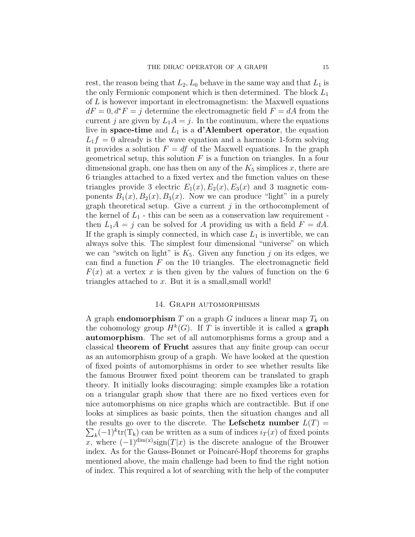rest, the reason being that  $L_2, L_0$  behave in the same way and that  $L_1$  is the only Fermionic component which is then determined. The block  $L_1$ of L is however important in electromagnetism: the Maxwell equations  $dF = 0, d^*F = j$  determine the electromagnetic field  $F = dA$  from the current j are given by  $L_1A = j$ . In the continuum, where the equations live in space-time and  $L_1$  is a d'Alembert operator, the equation  $L_1f = 0$  already is the wave equation and a harmonic 1-form solving it provides a solution  $F = df$  of the Maxwell equations. In the graph geometrical setup, this solution  $F$  is a function on triangles. In a four dimensional graph, one has then on any of the  $K_5$  simplices x, there are 6 triangles attached to a fixed vertex and the function values on these triangles provide 3 electric  $E_1(x)$ ,  $E_2(x)$ ,  $E_3(x)$  and 3 magnetic components  $B_1(x)$ ,  $B_2(x)$ ,  $B_3(x)$ . Now we can produce "light" in a purely graph theoretical setup. Give a current  $j$  in the orthocomplement of the kernel of  $L_1$  - this can be seen as a conservation law requirement then  $L_1A = j$  can be solved for A providing us with a field  $F = dA$ . If the graph is simply connected, in which case  $L_1$  is invertible, we can always solve this. The simplest four dimensional "universe" on which we can "switch on light" is  $K_5$ . Given any function j on its edges, we can find a function  $F$  on the 10 triangles. The electromagnetic field  $F(x)$  at a vertex x is then given by the values of function on the 6 triangles attached to  $x$ . But it is a small, small world!

# 14. Graph automorphisms

A graph **endomorphism** T on a graph G induces a linear map  $T_k$  on the cohomology group  $H^k(G)$ . If T is invertible it is called a **graph** automorphism. The set of all automorphisms forms a group and a classical theorem of Frucht assures that any finite group can occur as an automorphism group of a graph. We have looked at the question of fixed points of automorphisms in order to see whether results like the famous Brouwer fixed point theorem can be translated to graph theory. It initially looks discouraging: simple examples like a rotation on a triangular graph show that there are no fixed vertices even for nice automorphisms on nice graphs which are contractible. But if one looks at simplices as basic points, then the situation changes and all the results go over to the discrete. The **Lefschetz number**  $L(T)$  =  $\sum_{k} (-1)^{k}$ tr(T<sub>k</sub>) can be written as a sum of indices  $i_T(x)$  of fixed points x, where  $(-1)^{\dim(x)}$ sign $(T|x)$  is the discrete analogue of the Brouwer index. As for the Gauss-Bonnet or Poincaré-Hopf theorems for graphs mentioned above, the main challenge had been to find the right notion of index. This required a lot of searching with the help of the computer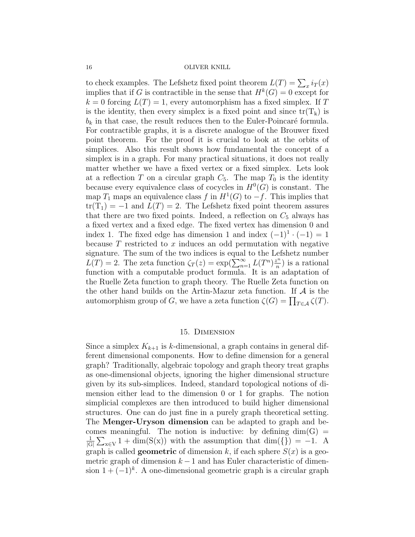to check examples. The Lefshetz fixed point theorem  $L(T) = \sum_x i_T(x)$ implies that if G is contractible in the sense that  $H^k(G) = 0$  except for  $k = 0$  forcing  $L(T) = 1$ , every automorphism has a fixed simplex. If T is the identity, then every simplex is a fixed point and since  $tr(T_k)$  is  $b_k$  in that case, the result reduces then to the Euler-Poincaré formula. For contractible graphs, it is a discrete analogue of the Brouwer fixed point theorem. For the proof it is crucial to look at the orbits of simplices. Also this result shows how fundamental the concept of a simplex is in a graph. For many practical situations, it does not really matter whether we have a fixed vertex or a fixed simplex. Lets look at a reflection T on a circular graph  $C_5$ . The map  $T_0$  is the identity because every equivalence class of cocycles in  $H^0(G)$  is constant. The map  $T_1$  maps an equivalence class f in  $H^1(G)$  to  $-f$ . This implies that  $tr(T_1) = -1$  and  $L(T) = 2$ . The Lefshetz fixed point theorem assures that there are two fixed points. Indeed, a reflection on  $C_5$  always has a fixed vertex and a fixed edge. The fixed vertex has dimension 0 and index 1. The fixed edge has dimension 1 and index  $(-1)^{1} \cdot (-1) = 1$ because  $T$  restricted to  $x$  induces an odd permutation with negative signature. The sum of the two indices is equal to the Lefshetz number  $L(T) = 2$ . The zeta function  $\zeta_T(z) = \exp(\sum_{n=1}^{\infty} L(T^n) \frac{z^n}{n})$  $\binom{n}{n}$  is a rational function with a computable product formula. It is an adaptation of the Ruelle Zeta function to graph theory. The Ruelle Zeta function on the other hand builds on the Artin-Mazur zeta function. If  $A$  is the automorphism group of G, we have a zeta function  $\zeta(G) = \prod_{T \in \mathcal{A}} \zeta(T)$ .

### 15. Dimension

Since a simplex  $K_{k+1}$  is k-dimensional, a graph contains in general different dimensional components. How to define dimension for a general graph? Traditionally, algebraic topology and graph theory treat graphs as one-dimensional objects, ignoring the higher dimensional structure given by its sub-simplices. Indeed, standard topological notions of dimension either lead to the dimension 0 or 1 for graphs. The notion simplicial complexes are then introduced to build higher dimensional structures. One can do just fine in a purely graph theoretical setting. The Menger-Uryson dimension can be adapted to graph and becomes meaningful. The notion is inductive: by defining  $dim(G)$  = 1  $\frac{1}{|G|}\sum_{x\in V} 1 + \dim(S(x))$  with the assumption that  $\dim({\mathcal{S}}) = -1$ . A graph is called **geometric** of dimension k, if each sphere  $S(x)$  is a geometric graph of dimension  $k-1$  and has Euler characteristic of dimension  $1 + (-1)^k$ . A one-dimensional geometric graph is a circular graph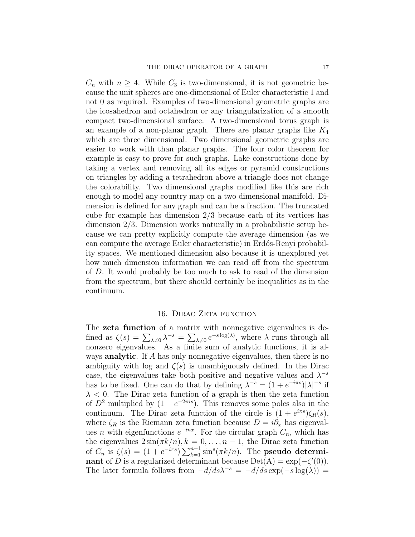$C_n$  with  $n \geq 4$ . While  $C_3$  is two-dimensional, it is not geometric because the unit spheres are one-dimensional of Euler characteristic 1 and not 0 as required. Examples of two-dimensional geometric graphs are the icosahedron and octahedron or any triangularization of a smooth compact two-dimensional surface. A two-dimensional torus graph is an example of a non-planar graph. There are planar graphs like  $K_4$ which are three dimensional. Two dimensional geometric graphs are easier to work with than planar graphs. The four color theorem for example is easy to prove for such graphs. Lake constructions done by taking a vertex and removing all its edges or pyramid constructions on triangles by adding a tetrahedron above a triangle does not change the colorability. Two dimensional graphs modified like this are rich enough to model any country map on a two dimensional manifold. Dimension is defined for any graph and can be a fraction. The truncated cube for example has dimension 2/3 because each of its vertices has dimension 2/3. Dimension works naturally in a probabilistic setup because we can pretty explicitly compute the average dimension (as we can compute the average Euler characteristic) in Erdós-Renyi probability spaces. We mentioned dimension also because it is unexplored yet how much dimension information we can read off from the spectrum of D. It would probably be too much to ask to read of the dimension from the spectrum, but there should certainly be inequalities as in the continuum.

# 16. DIRAC ZETA FUNCTION

The zeta function of a matrix with nonnegative eigenvalues is defined as  $\zeta(s) = \sum_{\lambda \neq 0} \lambda^{-s} = \sum_{\lambda \neq 0} e^{-s \log(\lambda)},$  where  $\lambda$  runs through all nonzero eigenvalues. As a finite sum of analytic functions, it is always **analytic**. If A has only nonnegative eigenvalues, then there is no ambiguity with log and  $\zeta(s)$  is unambiguously defined. In the Dirac case, the eigenvalues take both positive and negative values and  $\lambda^{-s}$ has to be fixed. One can do that by defining  $\lambda^{-s} = (1 + e^{-i\pi s})|\lambda|^{-s}$  if  $\lambda$  < 0. The Dirac zeta function of a graph is then the zeta function of  $D^2$  multiplied by  $(1 + e^{-2\pi i s})$ . This removes some poles also in the continuum. The Dirac zeta function of the circle is  $(1 + e^{i\pi s})\zeta_R(s)$ , where  $\zeta_R$  is the Riemann zeta function because  $D = i\partial_x$  has eigenvalues *n* with eigenfunctions  $e^{-inx}$ . For the circular graph  $C_n$ , which has the eigenvalues  $2\sin(\pi k/n), k = 0, \ldots, n-1$ , the Dirac zeta function of  $C_n$  is  $\zeta(s) = (1 + e^{-i\pi s}) \sum_{k=1}^{n-1} \sin^s(\pi k/n)$ . The **pseudo determi**nant of D is a regularized determinant because  $Det(A) = exp(-\zeta'(0)).$ The later formula follows from  $-d/ds\lambda^{-s} = -d/ds \exp(-s \log(\lambda))$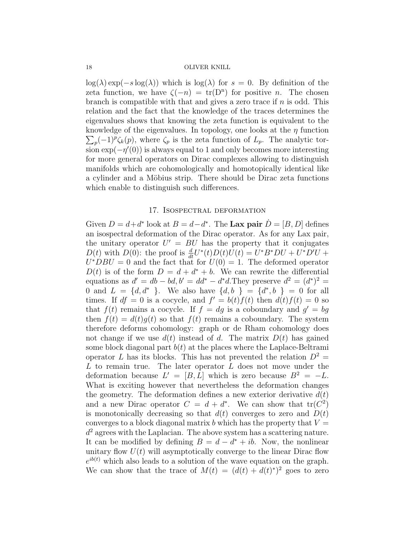$\log(\lambda) \exp(-s \log(\lambda))$  which is  $\log(\lambda)$  for  $s = 0$ . By definition of the zeta function, we have  $\zeta(-n) = \text{tr}(D^n)$  for positive *n*. The chosen branch is compatible with that and gives a zero trace if  $n$  is odd. This relation and the fact that the knowledge of the traces determines the eigenvalues shows that knowing the zeta function is equivalent to the knowledge of the eigenvalues. In topology, one looks at the  $\eta$  function  $\sum_p (-1)^p \zeta_k(p)$ , where  $\zeta_p$  is the zeta function of  $L_p$ . The analytic torsion  $\exp(-\eta'(0))$  is always equal to 1 and only becomes more interesting for more general operators on Dirac complexes allowing to distinguish manifolds which are cohomologically and homotopically identical like a cylinder and a Möbius strip. There should be Dirac zeta functions which enable to distinguish such differences.

# 17. Isospectral deformation

Given  $D = d + d^*$  look at  $B = d - d^*$ . The Lax pair  $\dot{D} = [B, D]$  defines an isospectral deformation of the Dirac operator. As for any Lax pair, the unitary operator  $U' = BU$  has the property that it conjugates  $D(t)$  with  $D(0)$ : the proof is  $\frac{d}{dt}U^*(t)D(t)U(t) = U^*B^*DU + U^*D'U +$  $U^*DBU = 0$  and the fact that for  $U(0) = 1$ . The deformed operator  $D(t)$  is of the form  $D = d + d^* + b$ . We can rewrite the differential equations as  $d' = db - bd, b' = dd^* - d^*d$ . They preserve  $d^2 = (d^*)^2 =$ 0 and  $L = \{d, d^*\}$ . We also have  $\{d, b\} = \{d^*, b\} = 0$  for all times. If  $df = 0$  is a cocycle, and  $f' = b(t)f(t)$  then  $d(t)f(t) = 0$  so that  $f(t)$  remains a cocycle. If  $f = dg$  is a coboundary and  $g' = bg$ then  $f(t) = d(t)g(t)$  so that  $f(t)$  remains a coboundary. The system therefore deforms cohomology: graph or de Rham cohomology does not change if we use  $d(t)$  instead of d. The matrix  $D(t)$  has gained some block diagonal part  $b(t)$  at the places where the Laplace-Beltrami operator L has its blocks. This has not prevented the relation  $D^2 =$  $L$  to remain true. The later operator  $L$  does not move under the deformation because  $L' = [B, L]$  which is zero because  $B^2 = -L$ . What is exciting however that nevertheless the deformation changes the geometry. The deformation defines a new exterior derivative  $d(t)$ and a new Dirac operator  $C = d + d^*$ . We can show that  $tr(C^2)$ is monotonically decreasing so that  $d(t)$  converges to zero and  $D(t)$ converges to a block diagonal matrix b which has the property that  $V =$  $d^2$  agrees with the Laplacian. The above system has a scattering nature. It can be modified by defining  $B = d - d^* + ib$ . Now, the nonlinear unitary flow  $U(t)$  will asymptotically converge to the linear Dirac flow  $e^{ib(t)}$  which also leads to a solution of the wave equation on the graph. We can show that the trace of  $M(t) = (d(t) + d(t)^*)^2$  goes to zero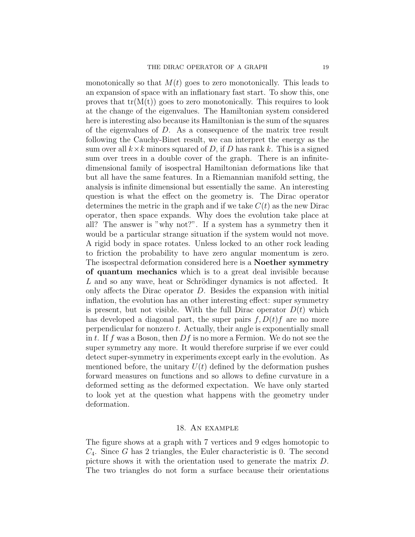monotonically so that  $M(t)$  goes to zero monotonically. This leads to an expansion of space with an inflationary fast start. To show this, one proves that  $tr(M(t))$  goes to zero monotonically. This requires to look at the change of the eigenvalues. The Hamiltonian system considered here is interesting also because its Hamiltonian is the sum of the squares of the eigenvalues of D. As a consequence of the matrix tree result following the Cauchy-Binet result, we can interpret the energy as the sum over all  $k \times k$  minors squared of D, if D has rank k. This is a signed sum over trees in a double cover of the graph. There is an infinitedimensional family of isospectral Hamiltonian deformations like that but all have the same features. In a Riemannian manifold setting, the analysis is infinite dimensional but essentially the same. An interesting question is what the effect on the geometry is. The Dirac operator determines the metric in the graph and if we take  $C(t)$  as the new Dirac operator, then space expands. Why does the evolution take place at all? The answer is "why not?". If a system has a symmetry then it would be a particular strange situation if the system would not move. A rigid body in space rotates. Unless locked to an other rock leading to friction the probability to have zero angular momentum is zero. The isospectral deformation considered here is a Noether symmetry of quantum mechanics which is to a great deal invisible because L and so any wave, heat or Schrödinger dynamics is not affected. It only affects the Dirac operator D. Besides the expansion with initial inflation, the evolution has an other interesting effect: super symmetry is present, but not visible. With the full Dirac operator  $D(t)$  which has developed a diagonal part, the super pairs  $f, D(t)f$  are no more perpendicular for nonzero  $t$ . Actually, their angle is exponentially small in t. If f was a Boson, then  $Df$  is no more a Fermion. We do not see the super symmetry any more. It would therefore surprise if we ever could detect super-symmetry in experiments except early in the evolution. As mentioned before, the unitary  $U(t)$  defined by the deformation pushes forward measures on functions and so allows to define curvature in a deformed setting as the deformed expectation. We have only started to look yet at the question what happens with the geometry under deformation.

### 18. An example

The figure shows at a graph with 7 vertices and 9 edges homotopic to  $C_4$ . Since G has 2 triangles, the Euler characteristic is 0. The second picture shows it with the orientation used to generate the matrix D. The two triangles do not form a surface because their orientations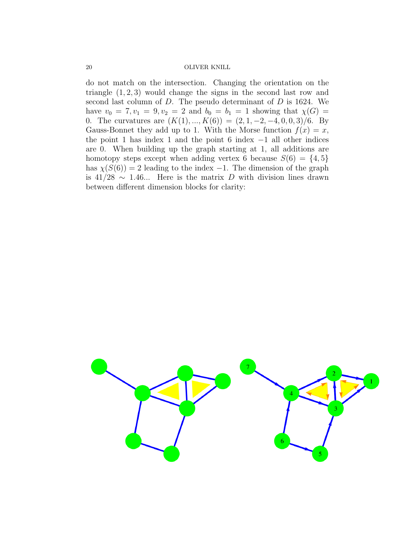do not match on the intersection. Changing the orientation on the triangle  $(1, 2, 3)$  would change the signs in the second last row and second last column of D. The pseudo determinant of D is 1624. We have  $v_0 = 7, v_1 = 9, v_2 = 2$  and  $b_0 = b_1 = 1$  showing that  $\chi(G) =$ 0. The curvatures are  $(K(1), ..., K(6)) = (2, 1, -2, -4, 0, 0, 3)/6$ . By Gauss-Bonnet they add up to 1. With the Morse function  $f(x) = x$ , the point 1 has index 1 and the point 6 index  $-1$  all other indices are 0. When building up the graph starting at 1, all additions are homotopy steps except when adding vertex 6 because  $S(6) = \{4, 5\}$ has  $\chi(S(6)) = 2$  leading to the index -1. The dimension of the graph is 41/28  $\sim$  1.46... Here is the matrix D with division lines drawn between different dimension blocks for clarity:

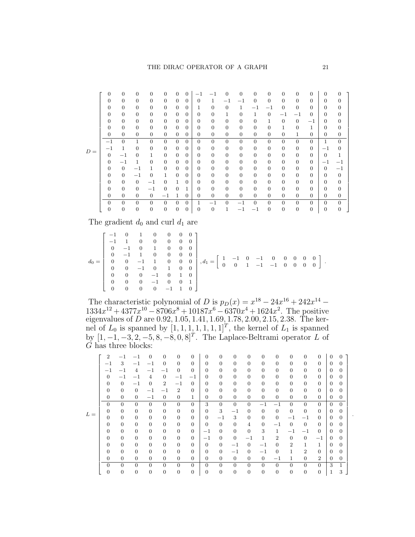|       | $\overline{0}$   | $\overline{0}$   | $\theta$         | $\overline{0}$ | $\theta$       | $\Omega$         | $\Omega$       | $-1$           | $-1$           | 0              | 0              | $\Omega$       | 0              | $\Omega$       | $\Omega$         | $\Omega$       | $\Omega$       | $\Omega$         |  |
|-------|------------------|------------------|------------------|----------------|----------------|------------------|----------------|----------------|----------------|----------------|----------------|----------------|----------------|----------------|------------------|----------------|----------------|------------------|--|
|       | $\overline{0}$   | $\overline{0}$   | $\theta$         | $\overline{0}$ | $\overline{0}$ | $\overline{0}$   | $\theta$       | 0              | 1              | $-1$           | $^{-1}$        | $\theta$       | $\theta$       | $\overline{0}$ | $\theta$         | $\overline{0}$ | 0              | $\boldsymbol{0}$ |  |
|       | $\overline{0}$   | $\overline{0}$   | $\overline{0}$   | $\overline{0}$ | $\overline{0}$ | $\overline{0}$   | $\overline{0}$ | $\mathbf 1$    | $\overline{0}$ | $\overline{0}$ | 1              | $-1$           | $^{-1}$        | $\theta$       | $\theta$         | $\Omega$       | $\theta$       | $\boldsymbol{0}$ |  |
|       | $\overline{0}$   | $\overline{0}$   | $\mathbf{0}$     | $\overline{0}$ | $\overline{0}$ | $\overline{0}$   | $\overline{0}$ | $\overline{0}$ | $\overline{0}$ | 1              | $\overline{0}$ | 1              | $\overline{0}$ | $^{-1}$        | $-1$             | $\theta$       | $\overline{0}$ | $\boldsymbol{0}$ |  |
|       | $\theta$         | $\boldsymbol{0}$ | $\mathbf{0}$     | $\overline{0}$ | $\overline{0}$ | $\overline{0}$   | $\overline{0}$ | $\overline{0}$ | $\overline{0}$ | $\overline{0}$ | $\overline{0}$ | $\theta$       | 1              | $\theta$       | $\mathbf{0}$     | $^{-1}$        | $\theta$       | $\boldsymbol{0}$ |  |
|       | $\theta$         | $\mathbf{0}$     | $\mathbf{0}$     | $\mathbf{0}$   | $\overline{0}$ | $\mathbf{0}$     | $\overline{0}$ | $\overline{0}$ | $\mathbf{0}$   | $\overline{0}$ | $\mathbf{0}$   | $\theta$       | $\mathbf{0}$   | 1              | $\theta$         | 1              | $\theta$       | $\boldsymbol{0}$ |  |
|       | $\overline{0}$   | $\mathbf{0}$     | $\mathbf{0}$     | $\overline{0}$ | $\overline{0}$ | $\mathbf{0}$     | $\overline{0}$ | 0              | $\overline{0}$ | $\theta$       | $\overline{0}$ | $\theta$       | $\overline{0}$ | $\theta$       | 1                | $\overline{0}$ | $\overline{0}$ | 0                |  |
|       | $-1$             | $\overline{0}$   | 1                | $\theta$       | $\overline{0}$ | $\overline{0}$   | $\overline{0}$ | $\overline{0}$ | $\overline{0}$ | $\overline{0}$ | $\overline{0}$ | $\overline{0}$ | $\overline{0}$ | $\overline{0}$ | $\theta$         | $\overline{0}$ | 1              | $\theta$         |  |
|       | $-1$             | $\mathbf{1}$     | $\theta$         | $\mathbf{0}$   | $\mathbf{0}$   | $\overline{0}$   | $\overline{0}$ | $\theta$       | $\overline{0}$ | $\theta$       | $\overline{0}$ | $\theta$       | $\theta$       | $\theta$       | $\theta$         | $\theta$       | $^{-1}$        | $\mathbf{0}$     |  |
| $D =$ | $\overline{0}$   | $^{-1}$          | $\overline{0}$   | $\mathbf 1$    | $\mathbf{0}$   | $\overline{0}$   | $\theta$       | 0              | $\overline{0}$ | $\theta$       | $\overline{0}$ | $\theta$       | $\overline{0}$ | $\theta$       | $\theta$         | $\overline{0}$ | $\overline{0}$ | 1                |  |
|       | $\theta$         | $^{-1}$          | 1                | $\overline{0}$ | $\overline{0}$ | $\overline{0}$   | $\overline{0}$ | 0              | $\overline{0}$ | $\theta$       | $\overline{0}$ | $\theta$       | $\overline{0}$ | $\mathbf{0}$   | $\theta$         | $\theta$       | $^{-1}$        | $^{-1}$          |  |
|       | $\theta$         | $\mathbf{0}$     | $-1$             | 1              | $\overline{0}$ | $\overline{0}$   | $\theta$       | 0              | $\overline{0}$ | $\overline{0}$ | $\overline{0}$ | $\theta$       | $\theta$       | $\theta$       | $\theta$         | $\overline{0}$ | $\overline{0}$ | $^{-1}$          |  |
|       | $\overline{0}$   | $\overline{0}$   | $-1$             | $\overline{0}$ | 1              | $\overline{0}$   | $\overline{0}$ | 0              | $\overline{0}$ | $\theta$       | $\overline{0}$ | $\theta$       | $\overline{0}$ | $\theta$       | $\theta$         | $\theta$       | 0              | $\mathbf{0}$     |  |
|       | $\overline{0}$   | $\overline{0}$   | $\mathbf{0}$     | $^{-1}$        | $\theta$       | $\mathbf 1$      | $\theta$       | 0              | $\overline{0}$ | $\overline{0}$ | $\overline{0}$ | $\theta$       | $\overline{0}$ | $\theta$       | $\theta$         | $\overline{0}$ | 0              | $\overline{0}$   |  |
|       | $\overline{0}$   | $\overline{0}$   | $\overline{0}$   | $-1$           | $\mathbf{0}$   | $\overline{0}$   | 1              | $\overline{0}$ | $\overline{0}$ | $\mathbf{0}$   | $\overline{0}$ | $\theta$       | $\mathbf{0}$   | $\theta$       | $\theta$         | $\overline{0}$ | 0              | $\boldsymbol{0}$ |  |
|       | $\overline{0}$   | $\overline{0}$   | $\theta$         | $\overline{0}$ | $-1$           | 1                | $\theta$       | 0              | $\mathbf{0}$   | $\mathbf{0}$   | $\mathbf{0}$   | $\theta$       | $\theta$       | $\theta$       | $\theta$         | $\overline{0}$ | 0              | $\overline{0}$   |  |
|       | $\overline{0}$   | $\overline{0}$   | $\theta$         | $\overline{0}$ | $\overline{0}$ | $\overline{0}$   | $\overline{0}$ | 1              | $-1$           | $\overline{0}$ | $-1$           | $\overline{0}$ | $\theta$       | $\theta$       | $\overline{0}$   | $\theta$       | $\theta$       | $\boldsymbol{0}$ |  |
|       | $\boldsymbol{0}$ | $\boldsymbol{0}$ | $\boldsymbol{0}$ | $\mathbf{0}$   | $\mathbf{0}$   | $\boldsymbol{0}$ | $\overline{0}$ | $\overline{0}$ | $\overline{0}$ | 1              | $^{-1}$        | $-1$           | $\overline{0}$ | $\theta$       | $\boldsymbol{0}$ | $\mathbf{0}$   | $\overline{0}$ | $\boldsymbol{0}$ |  |

The gradient  $d_0$  and curl  $d_1$  are

|  |  |  |  | $d_0=\left[\begin{array}{rrrrrrrr} -1&0&1&0&0&0&0\\ -1&1&0&0&0&0&0\\ 0&-1&0&1&0&0&0\\ 0&0&-1&1&0&0&0\\ 0&0&-1&0&1&0&0\\ 0&0&0&-1&0&1&0\\ 0&0&0&-1&0&1&0\\ 0&0&0&0&-1&1&0 \end{array}\right], d_1=\left[\begin{array}{rrrrrr} 1&-1&0&-1&0&0&0&0&0\\ 0&0&1&-1&-1&0&0&0&0\\ 0&0&1&-1&-1&0&0&$ |  |  |  |  |
|--|--|--|--|--------------------------------------------------------------------------------------------------------------------------------------------------------------------------------------------------------------------------------------------------------------------------------------------|--|--|--|--|
|  |  |  |  |                                                                                                                                                                                                                                                                                            |  |  |  |  |

The characteristic polynomial of D is  $p_D(x) = x^{18} - 24x^{16} + 242x^{14} 1334x^{12} + 4377x^{10} - 8706x^8 + 10187x^6 - 6370x^4 + 1624x^2$ . The positive eigenvalues of D are  $0.92, 1.05, 1.41, 1.69, 1.78, 2.00, 2.15, 2.38$ . The kernel of  $L_0$  is spanned by  $[1, 1, 1, 1, 1, 1, 1]^T$ , the kernel of  $L_1$  is spanned by  $[1, -1, -3, 2, -5, 8, -8, 0, 8]^T$ . The Laplace-Beltrami operator L of  $\check{G}$  has three blocks:

|       | $\overline{2}$   | -1               | $-1$           | 0                | $\theta$         | $\theta$       | $\Omega$       | 0              | $\theta$       | $\overline{0}$ | $\theta$       | $\theta$       | $\theta$       | $\theta$       | $\theta$       | $\Omega$       | $\Omega$       | $\Omega$       |
|-------|------------------|------------------|----------------|------------------|------------------|----------------|----------------|----------------|----------------|----------------|----------------|----------------|----------------|----------------|----------------|----------------|----------------|----------------|
| $L =$ | $-1$             | 3                | $^{-1}$        | $^{-1}$          | $\theta$         | $\overline{0}$ | $\Omega$       | $\overline{0}$ | $\overline{0}$ | $\overline{0}$ | $\overline{0}$ | $\theta$       | $\theta$       | $\overline{0}$ | $\overline{0}$ | $\overline{0}$ | $\Omega$       | $\overline{0}$ |
|       | $-1$             | $^{-1}$          | 4              | $-1$             | $^{-1}$          | $\overline{0}$ | $\overline{0}$ | 0              | $\overline{0}$ | $\overline{0}$ | $\overline{0}$ | $\theta$       | $\theta$       | $\overline{0}$ | $\overline{0}$ | $\overline{0}$ | $\Omega$       | $\overline{0}$ |
|       | $\overline{0}$   | $^{-1}$          | $-1$           | $\overline{4}$   | $\theta$         | $^{-1}$        | $^{-1}$        | $\overline{0}$ | $\overline{0}$ | $\overline{0}$ | $\theta$       | $\theta$       | $\theta$       | $\overline{0}$ | $\overline{0}$ | $\overline{0}$ | $\Omega$       | $\overline{0}$ |
|       | $\mathbf{0}$     | $\overline{0}$   | $^{-1}$        | $\overline{0}$   | $\overline{2}$   | $-1$           | $\overline{0}$ | $\overline{0}$ | $\overline{0}$ | $\overline{0}$ | $\mathbf{0}$   | $\mathbf{0}$   | $\mathbf{0}$   | $\overline{0}$ | $\theta$       | $\overline{0}$ | $\Omega$       | $\overline{0}$ |
|       | $\mathbf{0}$     | $\overline{0}$   | $\overline{0}$ | $^{-1}$          | $-1$             | $\overline{2}$ | $\overline{0}$ | $\overline{0}$ | $\overline{0}$ | $\overline{0}$ | $\mathbf{0}$   | $\mathbf{0}$   | $\mathbf{0}$   | $\overline{0}$ | $\overline{0}$ | $\overline{0}$ | $\Omega$       | $\overline{0}$ |
|       | $\mathbf{0}$     | $\overline{0}$   | $\overline{0}$ | $-1$             | $\overline{0}$   | $\overline{0}$ | 1              | $\overline{0}$ | $\overline{0}$ | $\overline{0}$ | $\theta$       | $\overline{0}$ | $\overline{0}$ | $\overline{0}$ | $\overline{0}$ | $\overline{0}$ | $\overline{0}$ | $\overline{0}$ |
|       | $\theta$         | $\overline{0}$   | $\overline{0}$ | $\theta$         | $\overline{0}$   | $\overline{0}$ | $\overline{0}$ | 3              | $\overline{0}$ | $\overline{0}$ | $\theta$       | $-1$           | $-1$           | $\overline{0}$ | $\overline{0}$ | $\Omega$       | $\Omega$       | $\overline{0}$ |
|       | $\boldsymbol{0}$ | $\mathbf{0}$     | $\mathbf{0}$   | $\mathbf{0}$     | $\boldsymbol{0}$ | $\mathbf{0}$   | $\mathbf{0}$   | $\overline{0}$ | 3              | $-1$           | $\mathbf{0}$   | $\mathbf{0}$   | $\mathbf{0}$   | $\mathbf{0}$   | $\overline{0}$ | $\theta$       | $\overline{0}$ | $\overline{0}$ |
|       | $\overline{0}$   | $\mathbf{0}$     | $\mathbf{0}$   | $\boldsymbol{0}$ | $\boldsymbol{0}$ | $\mathbf{0}$   | $\overline{0}$ | $\theta$       | $-1$           | 3              | $\mathbf{0}$   | $\theta$       | $\overline{0}$ | $-1$           | $-1$           | $\theta$       | $\Omega$       | $\overline{0}$ |
|       | $\mathbf{0}$     | $\boldsymbol{0}$ | $\mathbf{0}$   | $\boldsymbol{0}$ | $\boldsymbol{0}$ | $\mathbf{0}$   | $\mathbf{0}$   | $\overline{0}$ | $\overline{0}$ | $\mathbf{0}$   | $\overline{4}$ | $\mathbf{0}$   | $-1$           | $\overline{0}$ | $\overline{0}$ | $\theta$       | $\Omega$       | $\overline{0}$ |
|       | $\mathbf{0}$     | $\boldsymbol{0}$ | $\mathbf{0}$   | $\boldsymbol{0}$ | $\boldsymbol{0}$ | $\mathbf{0}$   | $\overline{0}$ | $^{-1}$        | $\overline{0}$ | $\mathbf{0}$   | $\mathbf{0}$   | 3              | $\mathbf{1}$   | $-1$           | $^{-1}$        | $\theta$       | $\overline{0}$ | $\overline{0}$ |
|       | $\mathbf{0}$     | $\boldsymbol{0}$ | $\mathbf{0}$   | $\boldsymbol{0}$ | $\boldsymbol{0}$ | $\overline{0}$ | $\overline{0}$ | $^{-1}$        | $\overline{0}$ | $\overline{0}$ | $-1$           | $\mathbf{1}$   | $\overline{2}$ | $\overline{0}$ | $\theta$       | $^{-1}$        | $\Omega$       | $\Omega$       |
|       | $\boldsymbol{0}$ | $\boldsymbol{0}$ | $\mathbf{0}$   | $\boldsymbol{0}$ | $\boldsymbol{0}$ | $\mathbf{0}$   | $\overline{0}$ | $\overline{0}$ | $\theta$       | $-1$           | $\theta$       | $-1$           | $\theta$       | $\overline{2}$ | 1              | $\mathbf{1}$   | $\overline{0}$ | $\overline{0}$ |
|       | $\mathbf{0}$     | $\theta$         | $\theta$       | $\boldsymbol{0}$ | $\boldsymbol{0}$ | $\overline{0}$ | $\overline{0}$ | $\overline{0}$ | $\overline{0}$ | $^{-1}$        | $\theta$       | $^{-1}$        | $\theta$       | $\mathbf{1}$   | $\overline{2}$ | $\overline{0}$ | $\Omega$       | $\Omega$       |
|       | $\overline{0}$   | $\theta$         | $\overline{0}$ | $\overline{0}$   | $\overline{0}$   | $\overline{0}$ | $\overline{0}$ | $\overline{0}$ | $\Omega$       | $\overline{0}$ | $\Omega$       | $\overline{0}$ | $-1$           | 1              | $\Omega$       | $\overline{2}$ | $\overline{0}$ | $\theta$       |
|       | $\overline{0}$   | $\overline{0}$   | $\overline{0}$ | $\overline{0}$   | $\overline{0}$   | $\overline{0}$ | $\Omega$       | $\overline{0}$ | $\overline{0}$ | $\overline{0}$ | $\overline{0}$ | $\theta$       | $\theta$       | $\overline{0}$ | $\overline{0}$ | $\overline{0}$ | 3              | 1              |
|       | $\overline{0}$   | $\theta$         | $\overline{0}$ | $\overline{0}$   | $\boldsymbol{0}$ | $\mathbf{0}$   | $\mathbf{0}$   | $\overline{0}$ | $\overline{0}$ | $\mathbf{0}$   | $\overline{0}$ | $\overline{0}$ | $\theta$       | $\mathbf{0}$   | $\overline{0}$ | $\overline{0}$ | $\mathbf 1$    | 3              |

.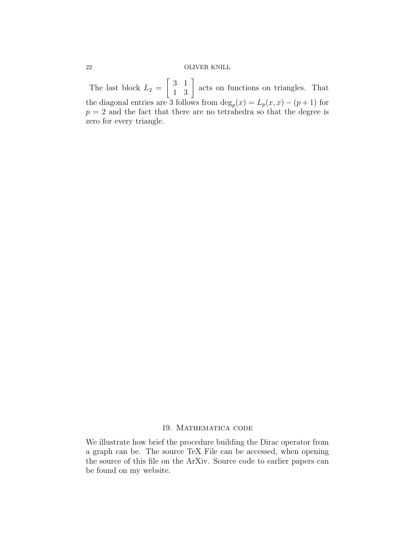The last block  $L_2 =$  $\begin{bmatrix} 3 & 1 \\ 1 & 3 \end{bmatrix}$  acts on functions on triangles. That the diagonal entries are 3 follows from  $\deg_p(x) = L_p(x, x) - (p+1)$  for  $p = 2$  and the fact that there are no tetrahedra so that the degree is zero for every triangle.

### 19. Mathematica code

We illustrate how brief the procedure building the Dirac operator from a graph can be. The source TeX File can be accessed, when opening the source of this file on the ArXiv. Source code to earlier papers can be found on my website.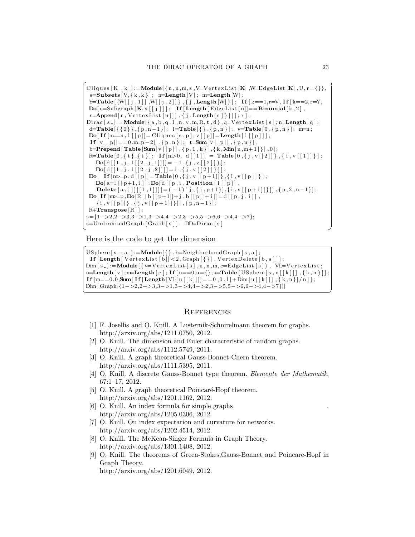```
\overline{a}Cliques [K_-, k_-]: = Module \{n, u, m, s, V=VertexList K], W=EdgeList [K], U, r = \{\}\},s =Subsets [V, \{k, k\}]; n=Length [V]; m=Length [W];
 Y=Table [\{W | [ j , 1 ] ] , W | [ j , 2 ] ] \}, \{ j , \text{Length } [W ] \}; If [k == 1, r = V, \text{If } k == 2, r = Y,\textbf{Do}[\text{u=Subgraph }[\textbf{K}, \textbf{s}[[j]]]; \text{ If } [\textbf{Length }[\text{EdgeList }[\text{u}]] == \textbf{Binomial }[\text{k} , 2],r=Append[r, VertexList[u]]], {j, Length[s]]];r];
Dirac [s_]:=Module [{a,b,q,l,n,v,m,R,t,d},q=VertexList [s]; n=Length [q];
 \texttt{d}=\texttt{Table} \left[ \left\{ \left\{ 0 \right\} \right\}, \left\{ p , n -1 \right\} \right]; \texttt{ } \texttt{l}=\texttt{Table} \left[ \left\{ \right\}, \left\{ p , n \right\} \right]; \texttt{ } \texttt{v}=\texttt{Table} \left[ \texttt{0}, \left\{ p , n \right\} \right]; \texttt{ } \texttt{m}=\texttt{n};\textbf{Do}[\text{If } [m=n, 1] | p] = \text{Cliques } [s, p]; v | p] = \textbf{Length} [1 | p] ];
 \mathbf{If} [v[[p]] == 0, m=p-2]], \{p, n\}]; \mathbf{t} = \text{Sum}[v[[p]], \{p, n\}];b=Prepend [ Table [Sum[v[[p]] , { p, 1, k } ] , \{k, Min[n, m+1] \} ] , 0 ];\texttt{R=Table[0}, \{\texttt{t}\}, \{\texttt{t}\}\}; \;\; \textbf{If} \texttt{[m>0, d[[1]] = Table[0, \{j \text{ , } v[[2]]\}\; , \{\texttt{i}\ , v[[1]]\}\} \, ;\textbf{Do}[\text{d}[[1,j,1][2,j,1]]]] = -1, \{j, v[[2]]\}];\textbf{Do}[\text{d}[[1,j,1][2,j,2]]]] = 1, \{j, v[[2]]\}];Do[ If [m>=p, d[[p]] = \textbf{Table}[0, {j, v[[p+1]]}, {i, v[[p]]}];
     \textbf{Do}[\text{a=1}\,[\,[\,p+1,i\,]\,];\textbf{Do}[\,d\,[\,[\,p\,,i\,,\textbf{Position}\,[\,1\,[\,[\,p\,]]\,,Delete [a, j] [[1, 1]] ]= (-1)^{2} j, \{j, p+1\} , \{i, v[[p+1]]\}] , \{p, 2, n-1\};
 Do[ If [m \geq p, D\mathbf{o}[R[[b[[p+1]] + j, b[[p]] + i]] = d[[p, j, i]],
     \{i, v[[p]]\}, \{j, v[[p+1]]\}]] , \{p, n-1\}];R+Transpose [R];
s={1−>2,2−>3,3−>1,3−>4,4−>2,3−>5,5−>6,6−>4,4−>7};
s=UndirectedGraph [Graph[s]]; DD=Dirac [s]
```
Here is the code to get the dimension

```
\overline{a}USphere [s_-, a_-] := \text{Module}[\{\}, b = \text{NeighbourhoodGraph}[s, a];\textbf{If} \left[ \textbf{Length} \left[ \text{VertexList} \left[ b \right] \right] < 2, \text{Graph} \left[ \left\{ \right\} \right], \text{VertexDelete} \left[ b, a \right] \right] \right];\text{Dim} [ s_- ] := \text{Module} [ \{ v = \text{VertexList} [ s ] , u , n , m , e = \text{EdgeList} [ s ] \}, \text{ V} \text{Let } \text{TextxList} ;n=Length[v]; m=Length[e]; If [n == 0, u = \{\}, u = Table[USphere[s, v[[k]]], \{k, n\}]];\textbf{If} \; [\text{m} == 0, 0, \text{Sum}[\; \textbf{If} \; [\text{Length} \; [\text{VL} \; [\; \text{k} \;]]]] == 0 \, , 0 \, , 1] + \text{Dim} \; [\; \text{u} \; [\; \text{k} \;]] \; ] \; , \; \{ \; \text{k} \; , \text{n} \; \}] \, / \, n \; ] \; ] \; ;Dim [\text{Graph}[\{1->2,2->3,3->1,3->4,4->2,3->5,5->6,6->4,4->7\}]]\frac{1}{\sqrt{2}} \frac{1}{\sqrt{2}} \frac{1}{\sqrt{2}} \frac{1}{\sqrt{2}} \frac{1}{\sqrt{2}} \frac{1}{\sqrt{2}} \frac{1}{\sqrt{2}} \frac{1}{\sqrt{2}} \frac{1}{\sqrt{2}} \frac{1}{\sqrt{2}} \frac{1}{\sqrt{2}} \frac{1}{\sqrt{2}} \frac{1}{\sqrt{2}} \frac{1}{\sqrt{2}} \frac{1}{\sqrt{2}} \frac{1}{\sqrt{2}} \frac{1}{\sqrt{2}}
```
✝ ✆

#### **REFERENCES**

- [1] F. Josellis and O. Knill. A Lusternik-Schnirelmann theorem for graphs. http://arxiv.org/abs/1211.0750, 2012.
- [2] O. Knill. The dimension and Euler characteristic of random graphs. http://arxiv.org/abs/1112.5749, 2011.
- [3] O. Knill. A graph theoretical Gauss-Bonnet-Chern theorem. http://arxiv.org/abs/1111.5395, 2011.
- [4] O. Knill. A discrete Gauss-Bonnet type theorem. Elemente der Mathematik, 67:1–17, 2012.
- [5] O. Knill. A graph theoretical Poincaré-Hopf theorem. http://arxiv.org/abs/1201.1162, 2012.
- [6] O. Knill. An index formula for simple graphs . http://arxiv.org/abs/1205.0306, 2012.
- [7] O. Knill. On index expectation and curvature for networks. http://arxiv.org/abs/1202.4514, 2012.
- [8] O. Knill. The McKean-Singer Formula in Graph Theory. http://arxiv.org/abs/1301.1408, 2012.
- [9] O. Knill. The theorems of Green-Stokes,Gauss-Bonnet and Poincare-Hopf in Graph Theory. http://arxiv.org/abs/1201.6049, 2012.